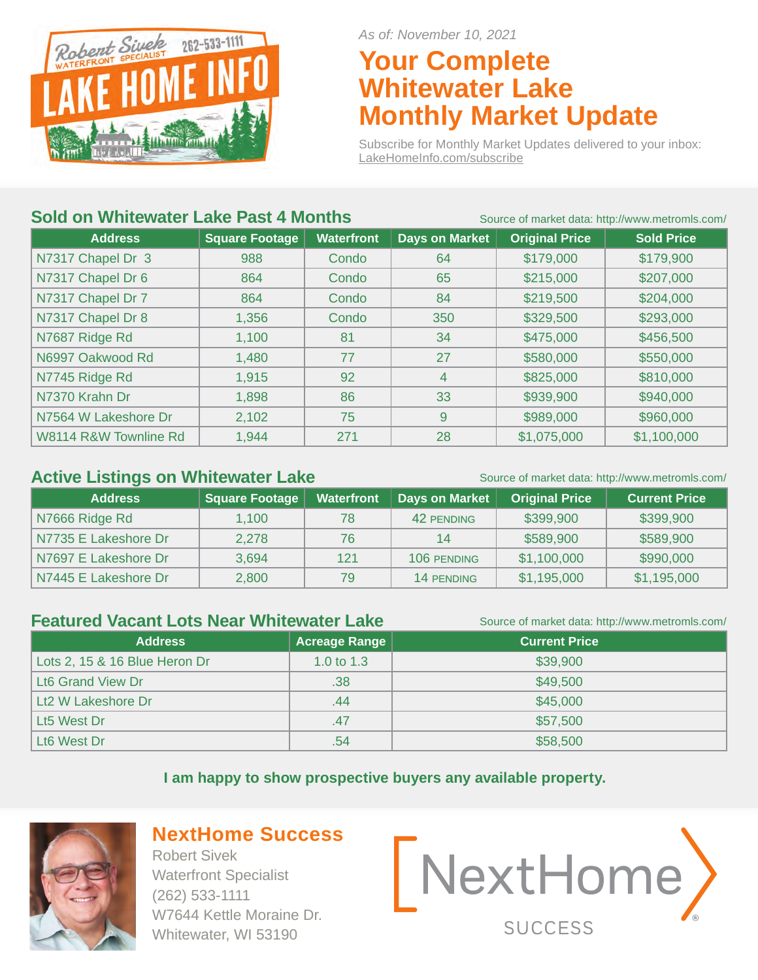

*As of: November 10, 2021*

### **Your Complete Whitewater Lake Monthly Market Update**

Subscribe for Monthly Market Updates delivered to your inbox: LakeHomeInfo.com/subscribe

#### **Sold on Whitewater Lake Past 4 Months** Source of market data: http://www.metromls.com/

| <b>Address</b>        | <b>Square Footage</b> | <b>Waterfront</b> | <b>Days on Market</b> | <b>Original Price</b> | <b>Sold Price</b> |
|-----------------------|-----------------------|-------------------|-----------------------|-----------------------|-------------------|
| N7317 Chapel Dr 3     | 988                   | Condo             | 64                    | \$179,000             | \$179,900         |
| N7317 Chapel Dr 6     | 864                   | Condo             | 65                    | \$215,000             | \$207,000         |
| N7317 Chapel Dr 7     | 864                   | Condo             | 84                    | \$219,500             | \$204,000         |
| N7317 Chapel Dr 8     | 1,356                 | Condo             | 350                   | \$329,500             | \$293,000         |
| N7687 Ridge Rd        | 1,100                 | 81                | 34                    | \$475,000             | \$456,500         |
| N6997 Oakwood Rd      | 1,480                 | 77                | 27                    | \$580,000             | \$550,000         |
| N7745 Ridge Rd        | 1,915                 | 92                | 4                     | \$825,000             | \$810,000         |
| N7370 Krahn Dr        | 1,898                 | 86                | 33                    | \$939,900             | \$940,000         |
| N7564 W Lakeshore Dr  | 2,102                 | 75                | 9                     | \$989,000             | \$960,000         |
| W8114 R&W Townline Rd | 1,944                 | 271               | 28                    | \$1,075,000           | \$1,100,000       |

#### Active Listings on Whitewater Lake Source of market data: http://www.metromls.com/

| <b>Address</b>       | Square Footage | <b>Waterfront</b> | Days on Market    | <b>Original Price</b> | <b>Current Price</b> |
|----------------------|----------------|-------------------|-------------------|-----------------------|----------------------|
| N7666 Ridge Rd       | 1,100          | 78                | 42 PENDING        | \$399,900             | \$399,900            |
| N7735 E Lakeshore Dr | 2.278          | 76                | 14                | \$589,900             | \$589,900            |
| N7697 E Lakeshore Dr | 3.694          | 121               | 106 PENDING       | \$1,100,000           | \$990,000            |
| N7445 E Lakeshore Dr | 2,800          | 79                | <b>14 PENDING</b> | \$1,195,000           | \$1,195,000          |

#### **Featured Vacant Lots Near Whitewater Lake** Source of market data: http://www.metromls.com/

| <b>Address</b>                | Acreage Range | <b>Current Price</b> |
|-------------------------------|---------------|----------------------|
| Lots 2, 15 & 16 Blue Heron Dr | 1.0 to $1.3$  | \$39,900             |
| <b>Lt6 Grand View Dr</b>      | .38           | \$49,500             |
| Lt2 W Lakeshore Dr            | .44           | \$45,000             |
| Lt5 West Dr                   | .47           | \$57,500             |
| Lt6 West Dr                   | .54           | \$58,500             |

**I am happy to show prospective buyers any available property.** 



#### **NextHome Success**

Robert Sivek Waterfront Specialist (262) 533-1111 W7644 Kettle Moraine Dr. Whitewater, WI 53190